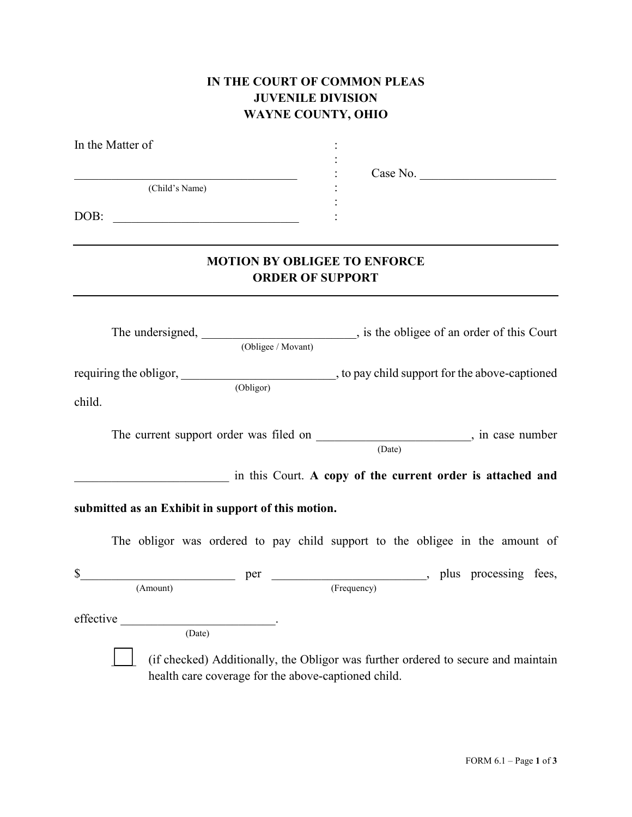## **IN THE COURT OF COMMON PLEAS JUVENILE DIVISION WAYNE COUNTY, OHIO**

| In the Matter of                                                                                                     |                                                                |                                                                                                  |
|----------------------------------------------------------------------------------------------------------------------|----------------------------------------------------------------|--------------------------------------------------------------------------------------------------|
| <u> 1989 - Johann John Stein, markin fan it ferskearre fan it ferskearre fan it ferskearre fan it ferskearre fan</u> |                                                                | Case No.                                                                                         |
| (Child's Name)                                                                                                       |                                                                |                                                                                                  |
|                                                                                                                      |                                                                |                                                                                                  |
|                                                                                                                      | <b>MOTION BY OBLIGEE TO ENFORCE</b><br><b>ORDER OF SUPPORT</b> |                                                                                                  |
|                                                                                                                      |                                                                | The undersigned, $\frac{1}{\text{(Oblige / Movant)}}$ , is the obligee of an order of this Court |
| child.                                                                                                               | (Obligor)                                                      |                                                                                                  |
|                                                                                                                      |                                                                | The current support order was filed on _____________________________, in case number<br>(Date)   |
|                                                                                                                      |                                                                | in this Court. A copy of the current order is attached and                                       |
| submitted as an Exhibit in support of this motion.                                                                   |                                                                |                                                                                                  |
|                                                                                                                      |                                                                | The obligor was ordered to pay child support to the obligee in the amount of                     |
| \$<br>(Amount)                                                                                                       | (Frequency)                                                    |                                                                                                  |
| effective<br>(Date)                                                                                                  | health care coverage for the above-captioned child.            | (if checked) Additionally, the Obligor was further ordered to secure and maintain                |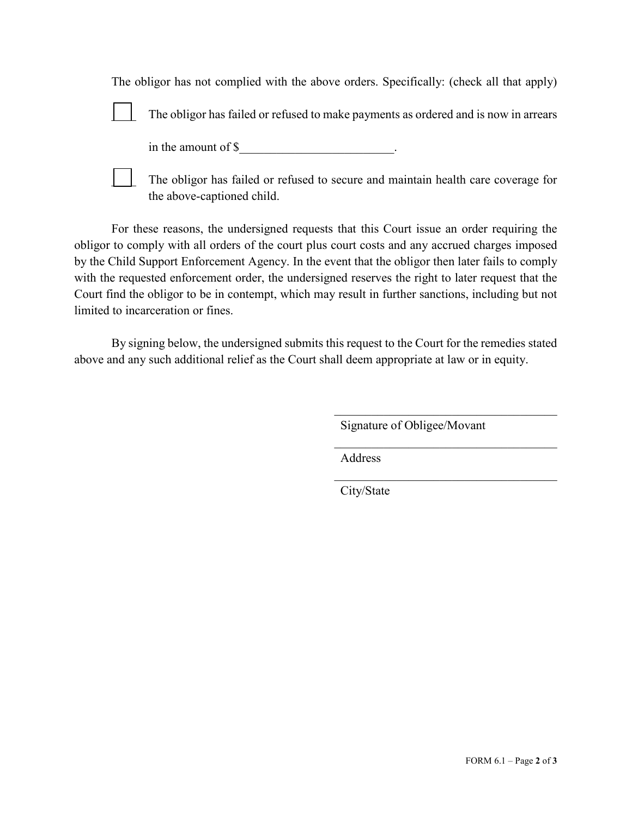| The obligor has not complied with the above orders. Specifically: (check all that apply) |                                                                                                                 |
|------------------------------------------------------------------------------------------|-----------------------------------------------------------------------------------------------------------------|
|                                                                                          | The obligor has failed or refused to make payments as ordered and is now in arrears                             |
|                                                                                          | in the amount of $\$                                                                                            |
|                                                                                          | The obligor has failed or refused to secure and maintain health care coverage for<br>the above-captioned child. |

For these reasons, the undersigned requests that this Court issue an order requiring the obligor to comply with all orders of the court plus court costs and any accrued charges imposed by the Child Support Enforcement Agency. In the event that the obligor then later fails to comply with the requested enforcement order, the undersigned reserves the right to later request that the Court find the obligor to be in contempt, which may result in further sanctions, including but not limited to incarceration or fines.

By signing below, the undersigned submits this request to the Court for the remedies stated above and any such additional relief as the Court shall deem appropriate at law or in equity.

Signature of Obligee/Movant

 $\mathcal{L}_\mathcal{L}$ 

 $\mathcal{L}_\mathcal{L}$ 

Address

City/State